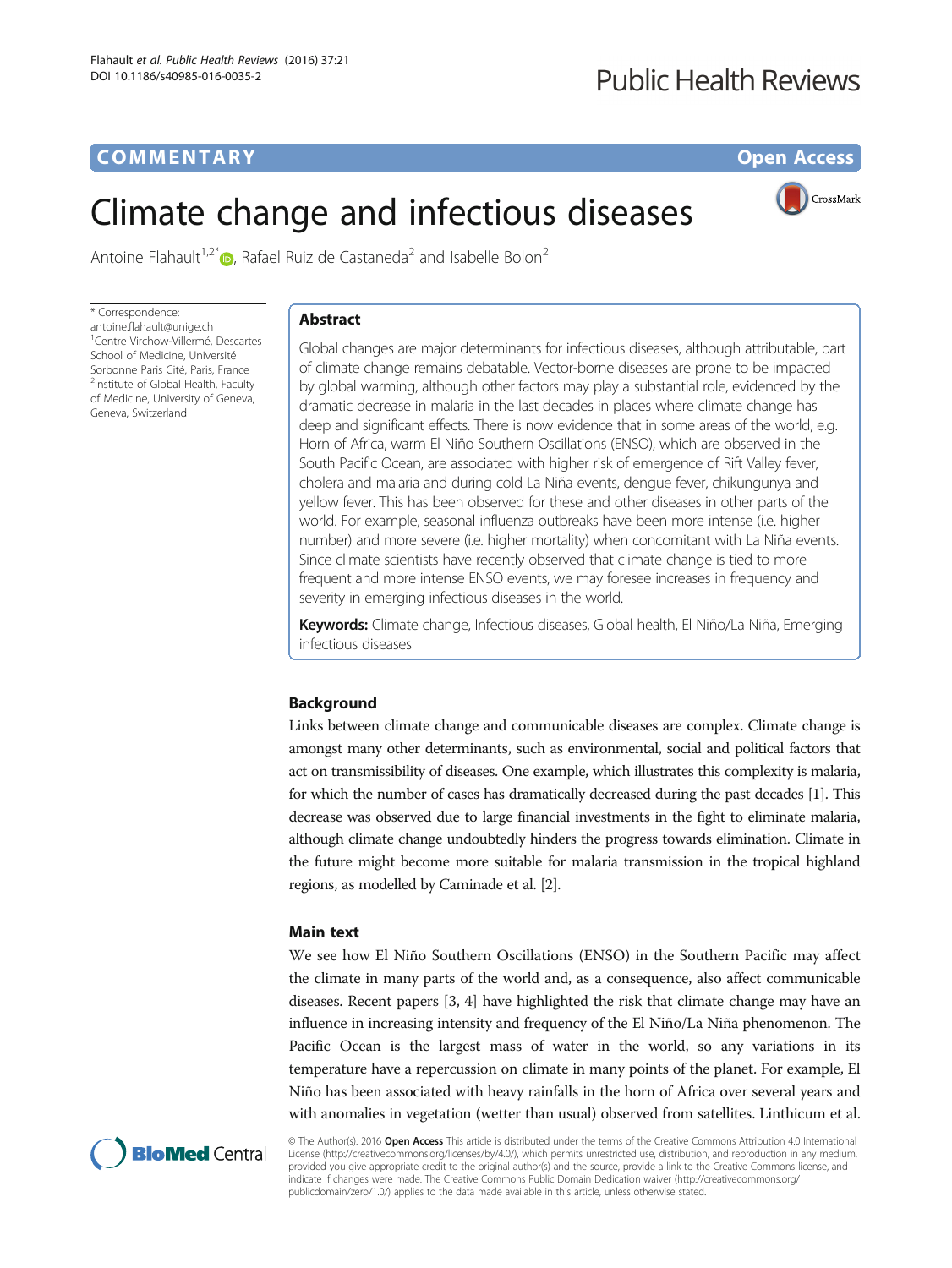# **COMMENTARY COMMENTARY Open Access**

# **Public Health Reviews**

# Climate change and infectious diseases



Antoine Flahault<sup>1,2[\\*](http://orcid.org/0000-0002-6957-2977)</sup> <sub>(a</sub>), Rafael Ruiz de Castaneda<sup>2</sup> and Isabelle Bolon<sup>2</sup>

\* Correspondence: [antoine.flahault@unige.ch](mailto:antoine.flahault@unige.ch) 1 Centre Virchow-Villermé, Descartes School of Medicine, Université Sorbonne Paris Cité, Paris, France <sup>2</sup>Institute of Global Health, Faculty of Medicine, University of Geneva, Geneva, Switzerland

# Abstract

Global changes are major determinants for infectious diseases, although attributable, part of climate change remains debatable. Vector-borne diseases are prone to be impacted by global warming, although other factors may play a substantial role, evidenced by the dramatic decrease in malaria in the last decades in places where climate change has deep and significant effects. There is now evidence that in some areas of the world, e.g. Horn of Africa, warm El Niño Southern Oscillations (ENSO), which are observed in the South Pacific Ocean, are associated with higher risk of emergence of Rift Valley fever, cholera and malaria and during cold La Niña events, dengue fever, chikungunya and yellow fever. This has been observed for these and other diseases in other parts of the world. For example, seasonal influenza outbreaks have been more intense (i.e. higher number) and more severe (i.e. higher mortality) when concomitant with La Niña events. Since climate scientists have recently observed that climate change is tied to more frequent and more intense ENSO events, we may foresee increases in frequency and severity in emerging infectious diseases in the world.

Keywords: Climate change, Infectious diseases, Global health, El Niño/La Niña, Emerging infectious diseases

## Background

Links between climate change and communicable diseases are complex. Climate change is amongst many other determinants, such as environmental, social and political factors that act on transmissibility of diseases. One example, which illustrates this complexity is malaria, for which the number of cases has dramatically decreased during the past decades [[1](#page-2-0)]. This decrease was observed due to large financial investments in the fight to eliminate malaria, although climate change undoubtedly hinders the progress towards elimination. Climate in the future might become more suitable for malaria transmission in the tropical highland regions, as modelled by Caminade et al. [\[2\]](#page-2-0).

## Main text

We see how El Niño Southern Oscillations (ENSO) in the Southern Pacific may affect the climate in many parts of the world and, as a consequence, also affect communicable diseases. Recent papers [[3, 4\]](#page-2-0) have highlighted the risk that climate change may have an influence in increasing intensity and frequency of the El Niño/La Niña phenomenon. The Pacific Ocean is the largest mass of water in the world, so any variations in its temperature have a repercussion on climate in many points of the planet. For example, El Niño has been associated with heavy rainfalls in the horn of Africa over several years and with anomalies in vegetation (wetter than usual) observed from satellites. Linthicum et al.



© The Author(s). 2016 Open Access This article is distributed under the terms of the Creative Commons Attribution 4.0 International License ([http://creativecommons.org/licenses/by/4.0/\)](http://creativecommons.org/licenses/by/4.0/), which permits unrestricted use, distribution, and reproduction in any medium, provided you give appropriate credit to the original author(s) and the source, provide a link to the Creative Commons license, and indicate if changes were made. The Creative Commons Public Domain Dedication waiver ([http://creativecommons.org/](http://creativecommons.org/publicdomain/zero/1.0/) [publicdomain/zero/1.0/\)](http://creativecommons.org/publicdomain/zero/1.0/) applies to the data made available in this article, unless otherwise stated.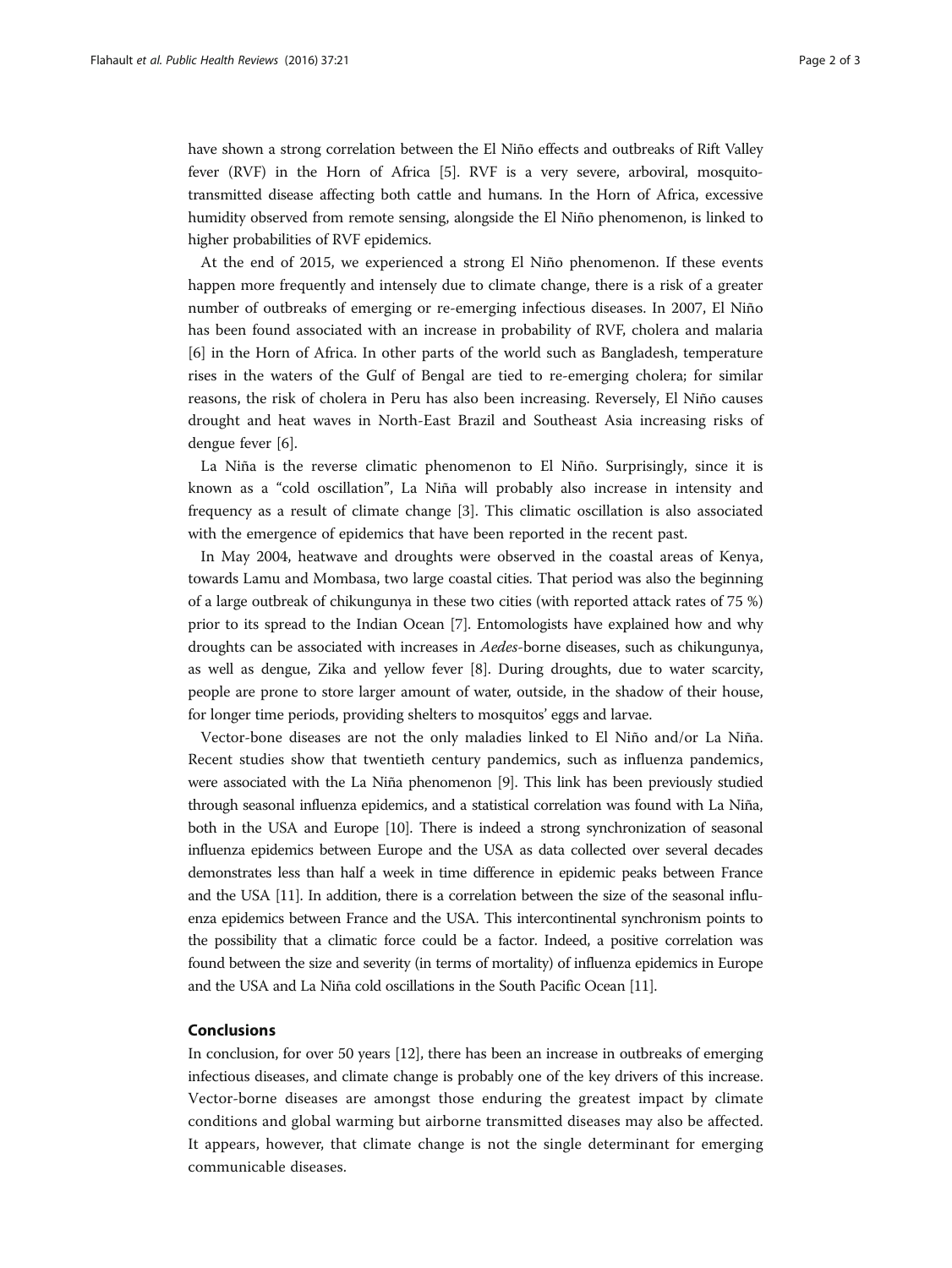have shown a strong correlation between the El Niño effects and outbreaks of Rift Valley fever (RVF) in the Horn of Africa [[5\]](#page-2-0). RVF is a very severe, arboviral, mosquitotransmitted disease affecting both cattle and humans. In the Horn of Africa, excessive humidity observed from remote sensing, alongside the El Niño phenomenon, is linked to higher probabilities of RVF epidemics.

At the end of 2015, we experienced a strong El Niño phenomenon. If these events happen more frequently and intensely due to climate change, there is a risk of a greater number of outbreaks of emerging or re-emerging infectious diseases. In 2007, El Niño has been found associated with an increase in probability of RVF, cholera and malaria [[6\]](#page-2-0) in the Horn of Africa. In other parts of the world such as Bangladesh, temperature rises in the waters of the Gulf of Bengal are tied to re-emerging cholera; for similar reasons, the risk of cholera in Peru has also been increasing. Reversely, El Niño causes drought and heat waves in North-East Brazil and Southeast Asia increasing risks of dengue fever [\[6\]](#page-2-0).

La Niña is the reverse climatic phenomenon to El Niño. Surprisingly, since it is known as a "cold oscillation", La Niña will probably also increase in intensity and frequency as a result of climate change [\[3](#page-2-0)]. This climatic oscillation is also associated with the emergence of epidemics that have been reported in the recent past.

In May 2004, heatwave and droughts were observed in the coastal areas of Kenya, towards Lamu and Mombasa, two large coastal cities. That period was also the beginning of a large outbreak of chikungunya in these two cities (with reported attack rates of 75 %) prior to its spread to the Indian Ocean [[7\]](#page-2-0). Entomologists have explained how and why droughts can be associated with increases in Aedes-borne diseases, such as chikungunya, as well as dengue, Zika and yellow fever [\[8](#page-2-0)]. During droughts, due to water scarcity, people are prone to store larger amount of water, outside, in the shadow of their house, for longer time periods, providing shelters to mosquitos' eggs and larvae.

Vector-bone diseases are not the only maladies linked to El Niño and/or La Niña. Recent studies show that twentieth century pandemics, such as influenza pandemics, were associated with the La Niña phenomenon [\[9](#page-2-0)]. This link has been previously studied through seasonal influenza epidemics, and a statistical correlation was found with La Niña, both in the USA and Europe [\[10](#page-2-0)]. There is indeed a strong synchronization of seasonal influenza epidemics between Europe and the USA as data collected over several decades demonstrates less than half a week in time difference in epidemic peaks between France and the USA [\[11\]](#page-2-0). In addition, there is a correlation between the size of the seasonal influenza epidemics between France and the USA. This intercontinental synchronism points to the possibility that a climatic force could be a factor. Indeed, a positive correlation was found between the size and severity (in terms of mortality) of influenza epidemics in Europe and the USA and La Niña cold oscillations in the South Pacific Ocean [\[11](#page-2-0)].

#### Conclusions

In conclusion, for over 50 years [\[12\]](#page-2-0), there has been an increase in outbreaks of emerging infectious diseases, and climate change is probably one of the key drivers of this increase. Vector-borne diseases are amongst those enduring the greatest impact by climate conditions and global warming but airborne transmitted diseases may also be affected. It appears, however, that climate change is not the single determinant for emerging communicable diseases.